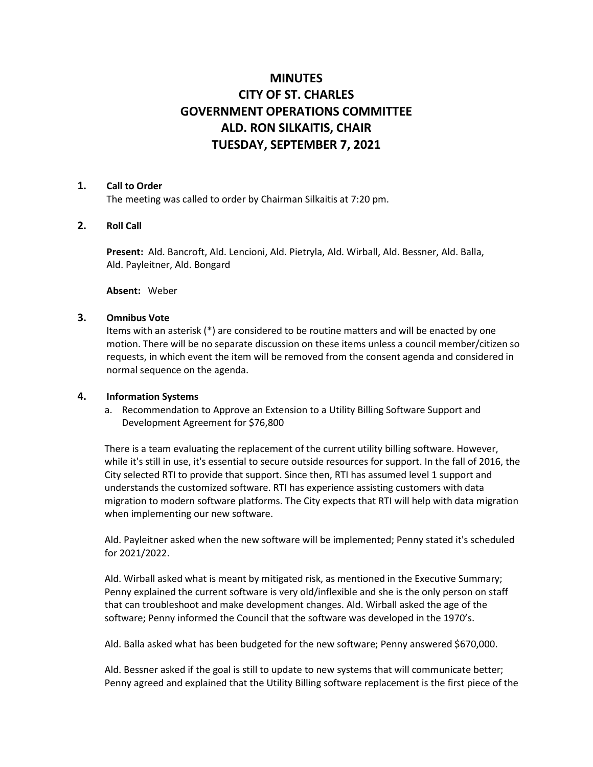# **MINUTES CITY OF ST. CHARLES GOVERNMENT OPERATIONS COMMITTEE ALD. RON SILKAITIS, CHAIR TUESDAY, SEPTEMBER 7, 2021**

### **1. Call to Order**

The meeting was called to order by Chairman Silkaitis at 7:20 pm.

## **2. Roll Call**

**Present:** Ald. Bancroft, Ald. Lencioni, Ald. Pietryla, Ald. Wirball, Ald. Bessner, Ald. Balla, Ald. Payleitner, Ald. Bongard

**Absent:** Weber

### **3. Omnibus Vote**

Items with an asterisk (\*) are considered to be routine matters and will be enacted by one motion. There will be no separate discussion on these items unless a council member/citizen so requests, in which event the item will be removed from the consent agenda and considered in normal sequence on the agenda.

## **4. Information Systems**

a. Recommendation to Approve an Extension to a Utility Billing Software Support and Development Agreement for \$76,800

There is a team evaluating the replacement of the current utility billing software. However, while it's still in use, it's essential to secure outside resources for support. In the fall of 2016, the City selected RTI to provide that support. Since then, RTI has assumed level 1 support and understands the customized software. RTI has experience assisting customers with data migration to modern software platforms. The City expects that RTI will help with data migration when implementing our new software.

Ald. Payleitner asked when the new software will be implemented; Penny stated it's scheduled for 2021/2022.

Ald. Wirball asked what is meant by mitigated risk, as mentioned in the Executive Summary; Penny explained the current software is very old/inflexible and she is the only person on staff that can troubleshoot and make development changes. Ald. Wirball asked the age of the software; Penny informed the Council that the software was developed in the 1970's.

Ald. Balla asked what has been budgeted for the new software; Penny answered \$670,000.

Ald. Bessner asked if the goal is still to update to new systems that will communicate better; Penny agreed and explained that the Utility Billing software replacement is the first piece of the